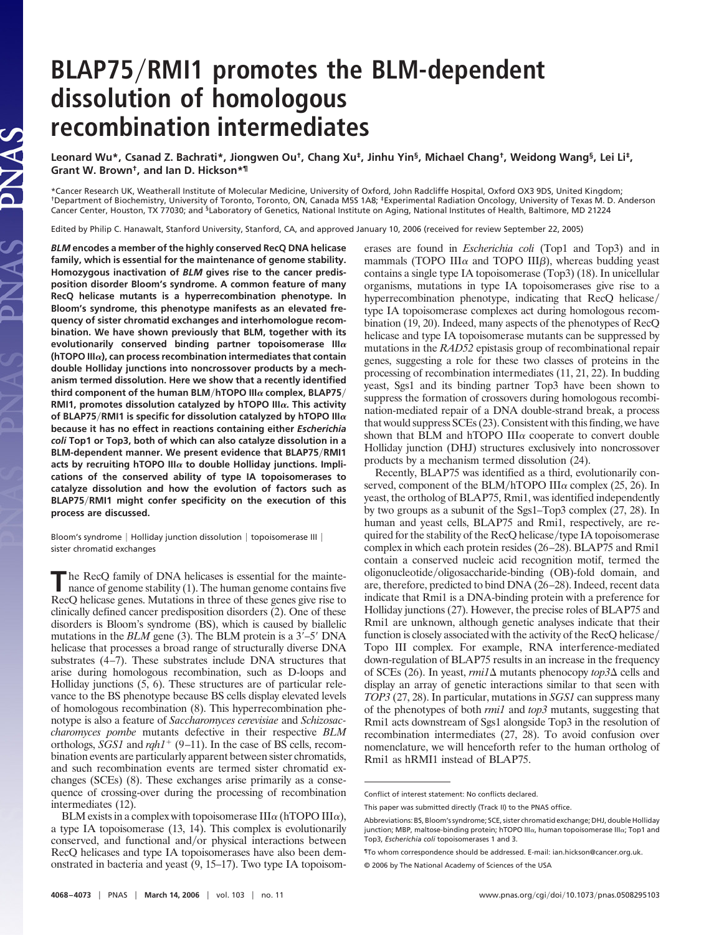## **BLAP75RMI1 promotes the BLM-dependent dissolution of homologous recombination intermediates**

**Leonard Wu\*, Csanad Z. Bachrati\*, Jiongwen Ou†, Chang Xu‡, Jinhu Yin§, Michael Chang†, Weidong Wang§, Lei Li‡, Grant W. Brown†, and Ian D. Hickson\*¶**

\*Cancer Research UK, Weatherall Institute of Molecular Medicine, University of Oxford, John Radcliffe Hospital, Oxford OX3 9DS, United Kingdom;<br>†Department of Biochemistry, University of Toronto, Toronto, ON, Canada M5S 1A Cancer Center, Houston, TX 77030; and <sup>§</sup>Laboratory of Genetics, National Institute on Aging, National Institutes of Health, Baltimore, MD 21224

Edited by Philip C. Hanawalt, Stanford University, Stanford, CA, and approved January 10, 2006 (received for review September 22, 2005)

*BLM* **encodes a member of the highly conserved RecQ DNA helicase family, which is essential for the maintenance of genome stability. Homozygous inactivation of** *BLM* **gives rise to the cancer predisposition disorder Bloom's syndrome. A common feature of many RecQ helicase mutants is a hyperrecombination phenotype. In Bloom's syndrome, this phenotype manifests as an elevated frequency of sister chromatid exchanges and interhomologue recombination. We have shown previously that BLM, together with its** evolutionarily conserved binding partner topoisomerase  $III\alpha$ **(hTOPO III), can process recombination intermediates that contain double Holliday junctions into noncrossover products by a mechanism termed dissolution. Here we show that a recently identified third component of the human BLMhTOPO III complex, BLAP75 RMI1, promotes dissolution catalyzed by hTOPO III. This activity** of BLAP75/RMI1 is specific for dissolution catalyzed by hTOPO III $\alpha$ **because it has no effect in reactions containing either** *Escherichia coli* **Top1 or Top3, both of which can also catalyze dissolution in a BLM-dependent manner. We present evidence that BLAP75RMI1** acts by recruiting hTOPO III $\alpha$  to double Holliday junctions. Impli**cations of the conserved ability of type IA topoisomerases to catalyze dissolution and how the evolution of factors such as BLAP75RMI1 might confer specificity on the execution of this process are discussed.**

JAS

Bloom's syndrome | Holliday junction dissolution | topoisomerase III | sister chromatid exchanges

**The RecQ family of DNA helicases is essential for the mainte-<br>nance of genome stability (1). The human genome contains five** nance of genome stability (1). The human genome contains five RecQ helicase genes. Mutations in three of these genes give rise to clinically defined cancer predisposition disorders (2). One of these disorders is Bloom's syndrome (BS), which is caused by biallelic mutations in the *BLM* gene (3). The BLM protein is a 3'-5' DNA helicase that processes a broad range of structurally diverse DNA substrates (4–7). These substrates include DNA structures that arise during homologous recombination, such as D-loops and Holliday junctions (5, 6). These structures are of particular relevance to the BS phenotype because BS cells display elevated levels of homologous recombination (8). This hyperrecombination phenotype is also a feature of *Saccharomyces cerevisiae* and *Schizosaccharomyces pombe* mutants defective in their respective *BLM* orthologs, *SGS1* and *rqh1*<sup>+</sup> (9–11). In the case of BS cells, recombination events are particularly apparent between sister chromatids, and such recombination events are termed sister chromatid exchanges (SCEs) (8). These exchanges arise primarily as a consequence of crossing-over during the processing of recombination intermediates (12).

BLM exists in a complex with topoisomerase  $III\alpha$  (hTOPO III $\alpha$ ), a type IA topoisomerase (13, 14). This complex is evolutionarily conserved, and functional and/or physical interactions between RecQ helicases and type IA topoisomerases have also been demonstrated in bacteria and yeast (9, 15–17). Two type IA topoisomerases are found in *Escherichia coli* (Top1 and Top3) and in mammals (TOPO III $\alpha$  and TOPO III $\beta$ ), whereas budding yeast contains a single type IA topoisomerase (Top3) (18). In unicellular organisms, mutations in type IA topoisomerases give rise to a hyperrecombination phenotype, indicating that RecQ helicase/ type IA topoisomerase complexes act during homologous recombination (19, 20). Indeed, many aspects of the phenotypes of RecQ helicase and type IA topoisomerase mutants can be suppressed by mutations in the *RAD52* epistasis group of recombinational repair genes, suggesting a role for these two classes of proteins in the processing of recombination intermediates (11, 21, 22). In budding yeast, Sgs1 and its binding partner Top3 have been shown to suppress the formation of crossovers during homologous recombination-mediated repair of a DNA double-strand break, a process that would suppress SCEs (23). Consistent with this finding, we have shown that BLM and hTOPO III $\alpha$  cooperate to convert double Holliday junction (DHJ) structures exclusively into noncrossover products by a mechanism termed dissolution (24).

Recently, BLAP75 was identified as a third, evolutionarily conserved, component of the BLM/hTOPO III $\alpha$  complex (25, 26). In yeast, the ortholog of BLAP75, Rmi1, was identified independently by two groups as a subunit of the Sgs1–Top3 complex (27, 28). In human and yeast cells, BLAP75 and Rmi1, respectively, are required for the stability of the  $RecQ$  helicase/type IA topoisomerase complex in which each protein resides (26–28). BLAP75 and Rmi1 contain a conserved nucleic acid recognition motif, termed the oligonucleotide/oligosaccharide-binding (OB)-fold domain, and are, therefore, predicted to bind DNA (26–28). Indeed, recent data indicate that Rmi1 is a DNA-binding protein with a preference for Holliday junctions (27). However, the precise roles of BLAP75 and Rmi1 are unknown, although genetic analyses indicate that their function is closely associated with the activity of the RecQ helicase Topo III complex. For example, RNA interference-mediated down-regulation of BLAP75 results in an increase in the frequency of SCEs (26). In yeast,  $rmi/(\Delta)$  mutants phenocopy  $top3\Delta$  cells and display an array of genetic interactions similar to that seen with *TOP3* (27, 28). In particular, mutations in *SGS1* can suppress many of the phenotypes of both *rmi1* and *top3* mutants, suggesting that Rmi1 acts downstream of Sgs1 alongside Top3 in the resolution of recombination intermediates (27, 28). To avoid confusion over nomenclature, we will henceforth refer to the human ortholog of Rmi1 as hRMI1 instead of BLAP75.

Conflict of interest statement: No conflicts declared.

This paper was submitted directly (Track II) to the PNAS office.

Abbreviations: BS, Bloom's syndrome; SCE, sister chromatid exchange; DHJ, double Holliday junction; MBP, maltose-binding protein; hTOPO III $\alpha$ , human topoisomerase III $\alpha$ ; Top1 and Top3, *Escherichia coli* topoisomerases 1 and 3.

<sup>¶</sup>To whom correspondence should be addressed. E-mail: ian.hickson@cancer.org.uk.

<sup>© 2006</sup> by The National Academy of Sciences of the USA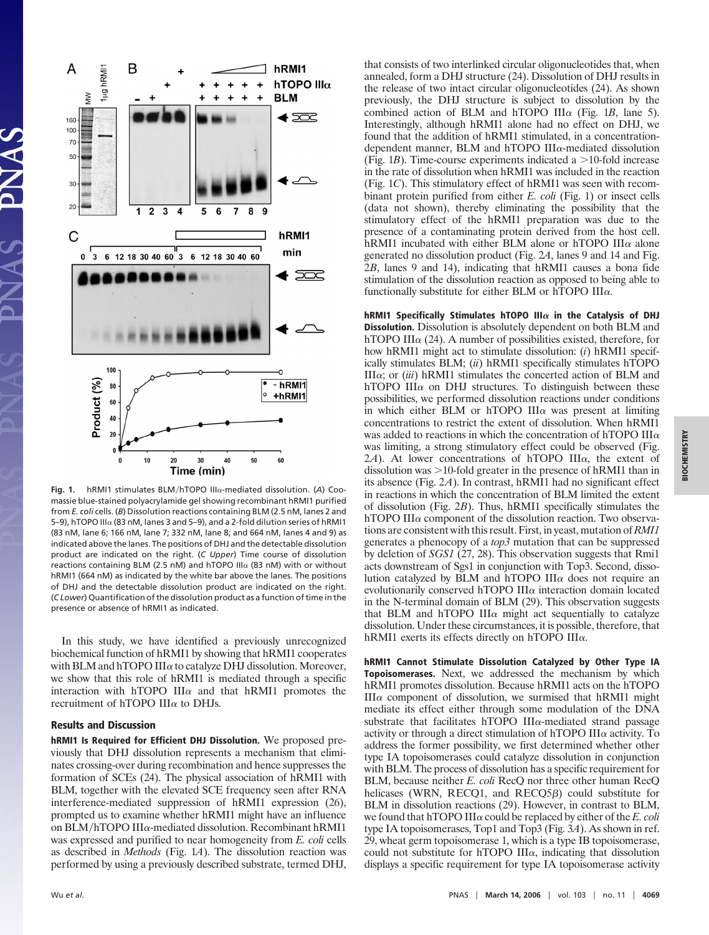

Fig. 1. hRMI1 stimulates BLM/hTOPO IIIa-mediated dissolution. (A) Coomassie blue-stained polyacrylamide gel showing recombinant hRMI1 purified from *E. coli* cells. (*B*) Dissolution reactions containing BLM (2.5 nM, lanes 2 and 5-9), hTOPO III $\alpha$  (83 nM, lanes 3 and 5-9), and a 2-fold dilution series of hRMI1 (83 nM, lane 6; 166 nM, lane 7; 332 nM, lane 8; and 664 nM, lanes 4 and 9) as indicated above the lanes. The positions of DHJ and the detectable dissolution product are indicated on the right. (*C Upper*) Time course of dissolution reactions containing BLM (2.5 nM) and hTOPO III $\alpha$  (83 nM) with or without hRMI1 (664 nM) as indicated by the white bar above the lanes. The positions of DHJ and the detectable dissolution product are indicated on the right. (*C Lower*) Quantification of the dissolution product as a function of time in the presence or absence of hRMI1 as indicated.

In this study, we have identified a previously unrecognized biochemical function of hRMI1 by showing that hRMI1 cooperates with BLM and hTOPO III $\alpha$  to catalyze DHJ dissolution. Moreover, we show that this role of hRMI1 is mediated through a specific interaction with hTOPO III $\alpha$  and that hRMI1 promotes the recruitment of hTOPO III $\alpha$  to DHJs.

## **Results and Discussion**

**hRMI1 Is Required for Efficient DHJ Dissolution.** We proposed previously that DHJ dissolution represents a mechanism that eliminates crossing-over during recombination and hence suppresses the formation of SCEs (24). The physical association of hRMI1 with BLM, together with the elevated SCE frequency seen after RNA interference-mediated suppression of hRMI1 expression (26), prompted us to examine whether hRMI1 might have an influence on BLM/hTOPO III $\alpha$ -mediated dissolution. Recombinant hRMI1 was expressed and purified to near homogeneity from *E. coli* cells as described in *Methods* (Fig. 1*A*). The dissolution reaction was performed by using a previously described substrate, termed DHJ, that consists of two interlinked circular oligonucleotides that, when annealed, form a DHJ structure (24). Dissolution of DHJ results in the release of two intact circular oligonucleotides (24). As shown previously, the DHJ structure is subject to dissolution by the combined action of BLM and hTOPO III $\alpha$  (Fig. 1*B*, lane 5). Interestingly, although hRMI1 alone had no effect on DHJ, we found that the addition of hRMI1 stimulated, in a concentrationdependent manner, BLM and hTOPO III $\alpha$ -mediated dissolution (Fig. 1*B*). Time-course experiments indicated a  $>$ 10-fold increase in the rate of dissolution when hRMI1 was included in the reaction (Fig. 1*C*). This stimulatory effect of hRMI1 was seen with recombinant protein purified from either *E. coli* (Fig. 1) or insect cells (data not shown), thereby eliminating the possibility that the stimulatory effect of the hRMI1 preparation was due to the presence of a contaminating protein derived from the host cell. hRMI1 incubated with either BLM alone or hTOPO III $\alpha$  alone generated no dissolution product (Fig. 2*A*, lanes 9 and 14 and Fig. 2*B*, lanes 9 and 14), indicating that hRMI1 causes a bona fide stimulation of the dissolution reaction as opposed to being able to functionally substitute for either BLM or hTOPO III $\alpha$ .

**hRMI1 Specifically Stimulates hTOPO III** $\alpha$  **in the Catalysis of DHJ Dissolution.** Dissolution is absolutely dependent on both BLM and hTOPO III $\alpha$  (24). A number of possibilities existed, therefore, for how hRMI1 might act to stimulate dissolution: (*i*) hRMI1 specifically stimulates BLM; (*ii*) hRMI1 specifically stimulates hTOPO  $III\alpha$ ; or (*iii*) hRMI1 stimulates the concerted action of BLM and hTOPO III $\alpha$  on DHJ structures. To distinguish between these possibilities, we performed dissolution reactions under conditions in which either BLM or hTOPO III $\alpha$  was present at limiting concentrations to restrict the extent of dissolution. When hRMI1 was added to reactions in which the concentration of hTOPO III $\alpha$ was limiting, a strong stimulatory effect could be observed (Fig.  $2A$ ). At lower concentrations of hTOPO III $\alpha$ , the extent of dissolution was  $>10$ -fold greater in the presence of hRMI1 than in its absence (Fig. 2*A*). In contrast, hRMI1 had no significant effect in reactions in which the concentration of BLM limited the extent of dissolution (Fig. 2*B*). Thus, hRMI1 specifically stimulates the hTOPO III $\alpha$  component of the dissolution reaction. Two observations are consistent with this result. First, in yeast, mutation of*RMI1* generates a phenocopy of a *top3* mutation that can be suppressed by deletion of *SGS1* (27, 28). This observation suggests that Rmi1 acts downstream of Sgs1 in conjunction with Top3. Second, dissolution catalyzed by BLM and hTOPO III $\alpha$  does not require an evolutionarily conserved hTOPO III $\alpha$  interaction domain located in the N-terminal domain of BLM (29). This observation suggests that BLM and hTOPO III $\alpha$  might act sequentially to catalyze dissolution. Under these circumstances, it is possible, therefore, that hRMI1 exerts its effects directly on hTOPO III $\alpha$ .

**hRMI1 Cannot Stimulate Dissolution Catalyzed by Other Type IA Topoisomerases.** Next, we addressed the mechanism by which hRMI1 promotes dissolution. Because hRMI1 acts on the hTOPO  $III\alpha$  component of dissolution, we surmised that hRMI1 might mediate its effect either through some modulation of the DNA substrate that facilitates hTOPO III $\alpha$ -mediated strand passage activity or through a direct stimulation of hTOPO III $\alpha$  activity. To address the former possibility, we first determined whether other type IA topoisomerases could catalyze dissolution in conjunction with BLM. The process of dissolution has a specific requirement for BLM, because neither *E. coli* RecQ nor three other human RecQ helicases (WRN, RECQ1, and  $RECO5\beta$ ) could substitute for BLM in dissolution reactions (29). However, in contrast to BLM, we found that hTOPO III $\alpha$  could be replaced by either of the *E. coli* type IA topoisomerases, Top1 and Top3 (Fig. 3*A*). As shown in ref. 29, wheat germ topoisomerase 1, which is a type IB topoisomerase, could not substitute for hTOPO III $\alpha$ , indicating that dissolution displays a specific requirement for type IA topoisomerase activity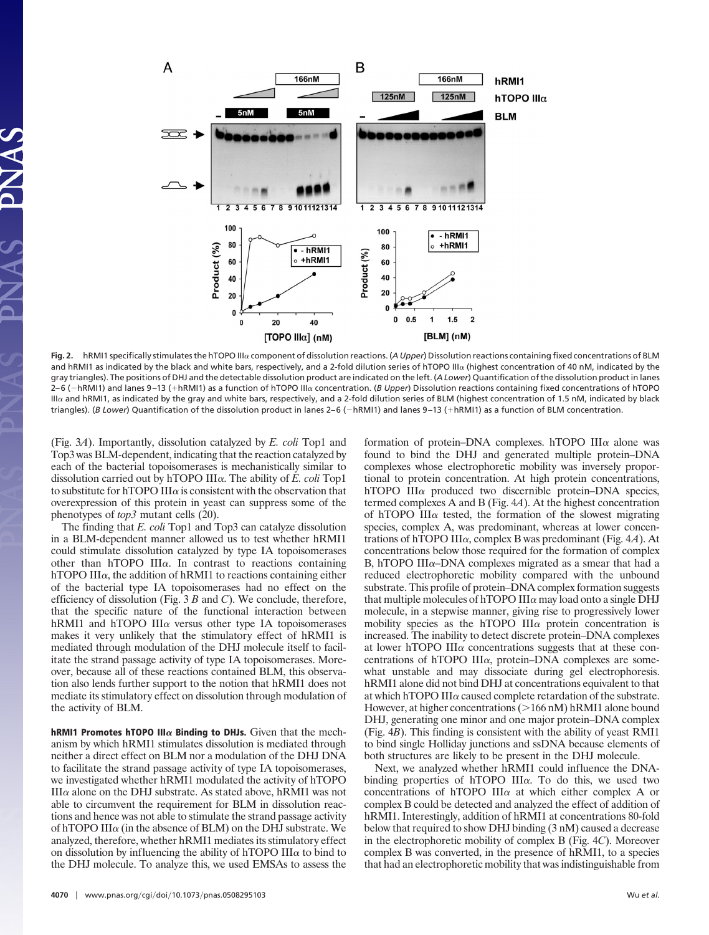

Fig. 2. hRMI1 specifically stimulates the hTOPO III<sub>C</sub> component of dissolution reactions. (A Upper) Dissolution reactions containing fixed concentrations of BLM and hRMI1 as indicated by the black and white bars, respectively, and a 2-fold dilution series of hTOPO III $\alpha$  (highest concentration of 40 nM, indicated by the gray triangles). The positions of DHJ and the detectable dissolution product are indicated on the left. (*A Lower*) Quantification of the dissolution product in lanes 2–6 (–hRMI1) and lanes 9–13 (+hRMI1) as a function of hTOPO III $\alpha$  concentration. (*B Upper*) Dissolution reactions containing fixed concentrations of hTOPO IIIa and hRMI1, as indicated by the gray and white bars, respectively, and a 2-fold dilution series of BLM (highest concentration of 1.5 nM, indicated by black triangles). (*B Lower*) Quantification of the dissolution product in lanes 2–6 (–hRMI1) and lanes 9–13 (+hRMI1) as a function of BLM concentration.

(Fig. 3*A*). Importantly, dissolution catalyzed by *E. coli* Top1 and Top3 was BLM-dependent, indicating that the reaction catalyzed by each of the bacterial topoisomerases is mechanistically similar to dissolution carried out by hTOPO III $\alpha$ . The ability of *E. coli* Top1 to substitute for hTOPO III $\alpha$  is consistent with the observation that overexpression of this protein in yeast can suppress some of the phenotypes of *top3* mutant cells (20).

The finding that *E. coli* Top1 and Top3 can catalyze dissolution in a BLM-dependent manner allowed us to test whether hRMI1 could stimulate dissolution catalyzed by type IA topoisomerases other than hTOPO III $\alpha$ . In contrast to reactions containing hTOPO III $\alpha$ , the addition of hRMI1 to reactions containing either of the bacterial type IA topoisomerases had no effect on the efficiency of dissolution (Fig. 3 *B* and *C*). We conclude, therefore, that the specific nature of the functional interaction between hRMI1 and hTOPO III $\alpha$  versus other type IA topoisomerases makes it very unlikely that the stimulatory effect of hRMI1 is mediated through modulation of the DHJ molecule itself to facilitate the strand passage activity of type IA topoisomerases. Moreover, because all of these reactions contained BLM, this observation also lends further support to the notion that hRMI1 does not mediate its stimulatory effect on dissolution through modulation of the activity of BLM.

**hRMI1 Promotes hTOPO III** $\alpha$  **Binding to DHJs.** Given that the mechanism by which hRMI1 stimulates dissolution is mediated through neither a direct effect on BLM nor a modulation of the DHJ DNA to facilitate the strand passage activity of type IA topoisomerases, we investigated whether hRMI1 modulated the activity of hTOPO  $III\alpha$  alone on the DHJ substrate. As stated above, hRMI1 was not able to circumvent the requirement for BLM in dissolution reactions and hence was not able to stimulate the strand passage activity of hTOPO III $\alpha$  (in the absence of BLM) on the DHJ substrate. We analyzed, therefore, whether hRMI1 mediates its stimulatory effect on dissolution by influencing the ability of hTOPO III $\alpha$  to bind to the DHJ molecule. To analyze this, we used EMSAs to assess the formation of protein–DNA complexes. hTOPO III $\alpha$  alone was found to bind the DHJ and generated multiple protein–DNA complexes whose electrophoretic mobility was inversely proportional to protein concentration. At high protein concentrations, hTOPO III $\alpha$  produced two discernible protein–DNA species, termed complexes A and B (Fig. 4*A*). At the highest concentration of hTOPO III $\alpha$  tested, the formation of the slowest migrating species, complex A, was predominant, whereas at lower concentrations of hTOPO III $\alpha$ , complex B was predominant (Fig. 4*A*). At concentrations below those required for the formation of complex B, hTOPO III $\alpha$ -DNA complexes migrated as a smear that had a reduced electrophoretic mobility compared with the unbound substrate. This profile of protein–DNA complex formation suggests that multiple molecules of hTOPO III $\alpha$  may load onto a single DHJ molecule, in a stepwise manner, giving rise to progressively lower mobility species as the hTOPO III $\alpha$  protein concentration is increased. The inability to detect discrete protein–DNA complexes at lower hTOPO III $\alpha$  concentrations suggests that at these concentrations of hTOPO III $\alpha$ , protein–DNA complexes are somewhat unstable and may dissociate during gel electrophoresis. hRMI1 alone did not bind DHJ at concentrations equivalent to that at which hTOPO III $\alpha$  caused complete retardation of the substrate. However, at higher concentrations  $(>166 \text{ nM})$  hRMI1 alone bound DHJ, generating one minor and one major protein–DNA complex (Fig. 4*B*). This finding is consistent with the ability of yeast RMI1 to bind single Holliday junctions and ssDNA because elements of both structures are likely to be present in the DHJ molecule.

Next, we analyzed whether hRMI1 could influence the DNAbinding properties of hTOPO III $\alpha$ . To do this, we used two concentrations of hTOPO III $\alpha$  at which either complex A or complex B could be detected and analyzed the effect of addition of hRMI1. Interestingly, addition of hRMI1 at concentrations 80-fold below that required to show DHJ binding (3 nM) caused a decrease in the electrophoretic mobility of complex B (Fig. 4*C*). Moreover complex B was converted, in the presence of hRMI1, to a species that had an electrophoretic mobility that was indistinguishable from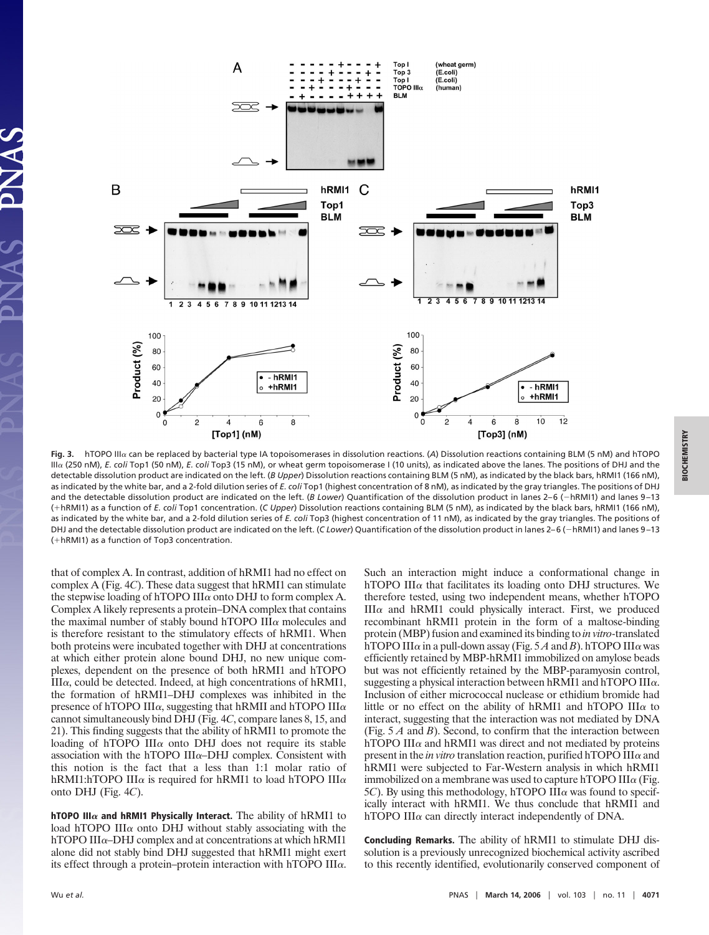

Fig. 3. hTOPO IIIa can be replaced by bacterial type IA topoisomerases in dissolution reactions. (A) Dissolution reactions containing BLM (5 nM) and hTOPO IIIa (250 nM), *E. coli* Top1 (50 nM), *E. coli* Top3 (15 nM), or wheat germ topoisomerase I (10 units), as indicated above the lanes. The positions of DHJ and the detectable dissolution product are indicated on the left. (*B Upper*) Dissolution reactions containing BLM (5 nM), as indicated by the black bars, hRMI1 (166 nM), as indicated by the white bar, and a 2-fold dilution series of *E. coli* Top1 (highest concentration of 8 nM), as indicated by the gray triangles. The positions of DHJ and the detectable dissolution product are indicated on the left. (*B Lower*) Quantification of the dissolution product in lanes 2-6 (-hRMI1) and lanes 9-13 (-hRMI1) as a function of *E. coli* Top1 concentration. (*C Upper*) Dissolution reactions containing BLM (5 nM), as indicated by the black bars, hRMI1 (166 nM), as indicated by the white bar, and a 2-fold dilution series of *E. coli* Top3 (highest concentration of 11 nM), as indicated by the gray triangles. The positions of DHJ and the detectable dissolution product are indicated on the left. (*C Lower*) Quantification of the dissolution product in lanes 2–6 (hRMI1) and lanes 9–13 (-hRMI1) as a function of Top3 concentration.

that of complex A. In contrast, addition of hRMI1 had no effect on complex A (Fig. 4*C*). These data suggest that hRMI1 can stimulate the stepwise loading of hTOPO III $\alpha$  onto DHJ to form complex A. Complex A likely represents a protein–DNA complex that contains the maximal number of stably bound hTOPO III $\alpha$  molecules and is therefore resistant to the stimulatory effects of hRMI1. When both proteins were incubated together with DHJ at concentrations at which either protein alone bound DHJ, no new unique complexes, dependent on the presence of both hRMI1 and hTOPO  $III\alpha$ , could be detected. Indeed, at high concentrations of hRMI1, the formation of hRMI1–DHJ complexes was inhibited in the presence of hTOPO III $\alpha$ , suggesting that hRMII and hTOPO III $\alpha$ cannot simultaneously bind DHJ (Fig. 4*C*, compare lanes 8, 15, and 21). This finding suggests that the ability of hRMI1 to promote the loading of hTOPO III $\alpha$  onto DHJ does not require its stable association with the hTOPO III $\alpha$ –DHJ complex. Consistent with this notion is the fact that a less than 1:1 molar ratio of hRMI1:hTOPO III $\alpha$  is required for hRMI1 to load hTOPO III $\alpha$ onto DHJ (Fig. 4*C*).

**hTOPO III** $\alpha$  **and hRMI1 Physically Interact.** The ability of hRMI1 to load hTOPO III $\alpha$  onto DHJ without stably associating with the hTOPO III $\alpha$ –DHJ complex and at concentrations at which hRMI1 alone did not stably bind DHJ suggested that hRMI1 might exert its effect through a protein–protein interaction with hTOPO III $\alpha$ . Such an interaction might induce a conformational change in hTOPO III $\alpha$  that facilitates its loading onto DHJ structures. We therefore tested, using two independent means, whether hTOPO  $III\alpha$  and hRMI1 could physically interact. First, we produced recombinant hRMI1 protein in the form of a maltose-binding protein (MBP) fusion and examined its binding to *in vitro*-translated hTOPO III $\alpha$  in a pull-down assay (Fig. 5A and *B*). hTOPO III $\alpha$  was efficiently retained by MBP-hRMI1 immobilized on amylose beads but was not efficiently retained by the MBP-paramyosin control, suggesting a physical interaction between hRMI1 and hTOPO  $III\alpha$ . Inclusion of either micrococcal nuclease or ethidium bromide had little or no effect on the ability of hRMI1 and hTOPO III $\alpha$  to interact, suggesting that the interaction was not mediated by DNA (Fig. 5 *A* and *B*). Second, to confirm that the interaction between hTOPO III $\alpha$  and hRMI1 was direct and not mediated by proteins present in the *in vitro* translation reaction, purified hTOPO III $\alpha$  and hRMI1 were subjected to Far-Western analysis in which hRMI1 immobilized on a membrane was used to capture hTOPO III $\alpha$  (Fig. 5*C*). By using this methodology, hTOPO III $\alpha$  was found to specifically interact with hRMI1. We thus conclude that hRMI1 and hTOPO III $\alpha$  can directly interact independently of DNA.

**Concluding Remarks.** The ability of hRMI1 to stimulate DHJ dissolution is a previously unrecognized biochemical activity ascribed to this recently identified, evolutionarily conserved component of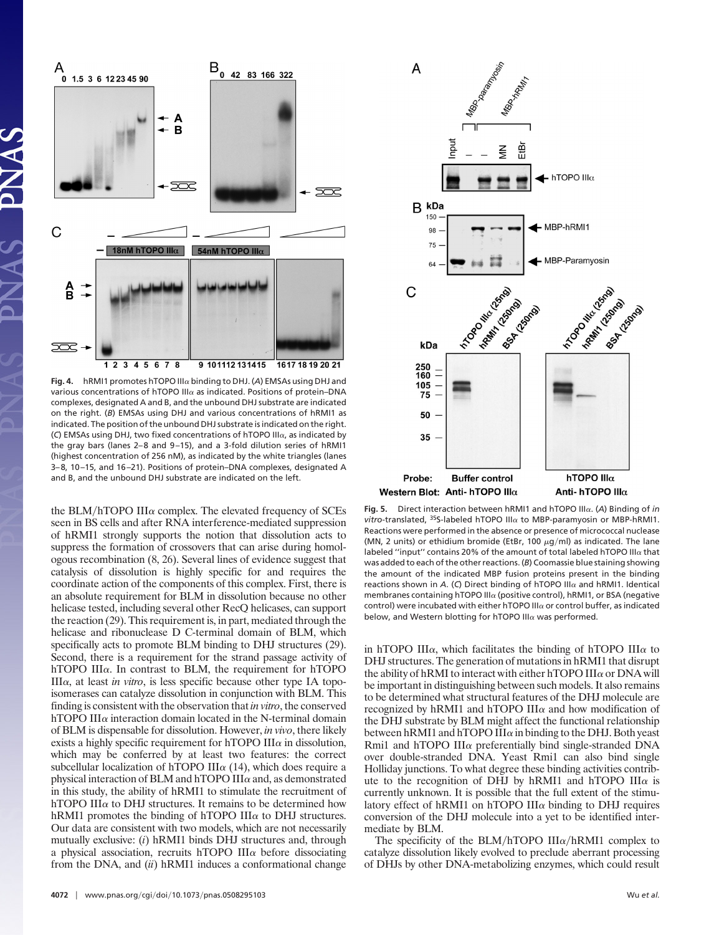

Fig. 4. hRMI1 promotes hTOPO III $\alpha$  binding to DHJ. (A) EMSAs using DHJ and various concentrations of hTOPO III $\alpha$  as indicated. Positions of protein–DNA complexes, designated A and B, and the unbound DHJ substrate are indicated on the right. (*B*) EMSAs using DHJ and various concentrations of hRMI1 as indicated. The position of the unbound DHJ substrate is indicated on the right. ( $C$ ) EMSAs using DHJ, two fixed concentrations of hTOPO III $\alpha$ , as indicated by the gray bars (lanes 2–8 and 9–15), and a 3-fold dilution series of hRMI1 (highest concentration of 256 nM), as indicated by the white triangles (lanes 3–8, 10–15, and 16–21). Positions of protein–DNA complexes, designated A and B, and the unbound DHJ substrate are indicated on the left.

the BLM/hTOPO III $\alpha$  complex. The elevated frequency of SCEs seen in BS cells and after RNA interference-mediated suppression of hRMI1 strongly supports the notion that dissolution acts to suppress the formation of crossovers that can arise during homologous recombination (8, 26). Several lines of evidence suggest that catalysis of dissolution is highly specific for and requires the coordinate action of the components of this complex. First, there is an absolute requirement for BLM in dissolution because no other helicase tested, including several other RecQ helicases, can support the reaction (29). This requirement is, in part, mediated through the helicase and ribonuclease D C-terminal domain of BLM, which specifically acts to promote BLM binding to DHJ structures (29). Second, there is a requirement for the strand passage activity of hTOPO III $\alpha$ . In contrast to BLM, the requirement for hTOPO  $III\alpha$ , at least *in vitro*, is less specific because other type IA topoisomerases can catalyze dissolution in conjunction with BLM. This finding is consistent with the observation that *in vitro*, the conserved hTOPO III $\alpha$  interaction domain located in the N-terminal domain of BLM is dispensable for dissolution. However, *in vivo*, there likely exists a highly specific requirement for hTOPO III $\alpha$  in dissolution, which may be conferred by at least two features: the correct subcellular localization of hTOPO III $\alpha$  (14), which does require a physical interaction of BLM and hTOPO III $\alpha$  and, as demonstrated in this study, the ability of hRMI1 to stimulate the recruitment of hTOPO III $\alpha$  to DHJ structures. It remains to be determined how hRMI1 promotes the binding of hTOPO III $\alpha$  to DHJ structures. Our data are consistent with two models, which are not necessarily mutually exclusive: (*i*) hRMI1 binds DHJ structures and, through a physical association, recruits hTOPO III $\alpha$  before dissociating from the DNA, and (*ii*) hRMI1 induces a conformational change



Fig. 5. Direct interaction between hRMI1 and hTOPO III $\alpha$ . (A) Binding of *in*  $vitro$ -translated,  $35$ S-labeled hTOPO III $\alpha$  to MBP-paramyosin or MBP-hRMI1. Reactions were performed in the absence or presence of micrococcal nuclease (MN, 2 units) or ethidium bromide (EtBr, 100  $\mu$ g/ml) as indicated. The lane labeled "input" contains 20% of the amount of total labeled hTOPO III $\alpha$  that was added to each of the other reactions. (*B*) Coomassie blue staining showing the amount of the indicated MBP fusion proteins present in the binding reactions shown in  $A$ . (C) Direct binding of hTOPO III $\alpha$  and hRMI1. Identical membranes containing hTOPO III $\alpha$  (positive control), hRMI1, or BSA (negative control) were incubated with either hTOPO III $\alpha$  or control buffer, as indicated below, and Western blotting for hTOPO III $\alpha$  was performed.

in hTOPO III $\alpha$ , which facilitates the binding of hTOPO III $\alpha$  to DHJ structures. The generation of mutations in hRMI1 that disrupt the ability of hRMI to interact with either hTOPO III $\alpha$  or DNA will be important in distinguishing between such models. It also remains to be determined what structural features of the DHJ molecule are recognized by hRMI1 and hTOPO III $\alpha$  and how modification of the DHJ substrate by BLM might affect the functional relationship between hRMI1 and hTOPO III $\alpha$  in binding to the DHJ. Both yeast Rmi1 and hTOPO III $\alpha$  preferentially bind single-stranded DNA over double-stranded DNA. Yeast Rmi1 can also bind single Holliday junctions. To what degree these binding activities contribute to the recognition of DHJ by hRMI1 and hTOPO III $\alpha$  is currently unknown. It is possible that the full extent of the stimulatory effect of hRMI1 on hTOPO III $\alpha$  binding to DHJ requires conversion of the DHJ molecule into a yet to be identified intermediate by BLM.

The specificity of the BLM/hTOPO III $\alpha$ /hRMI1 complex to catalyze dissolution likely evolved to preclude aberrant processing of DHJs by other DNA-metabolizing enzymes, which could result